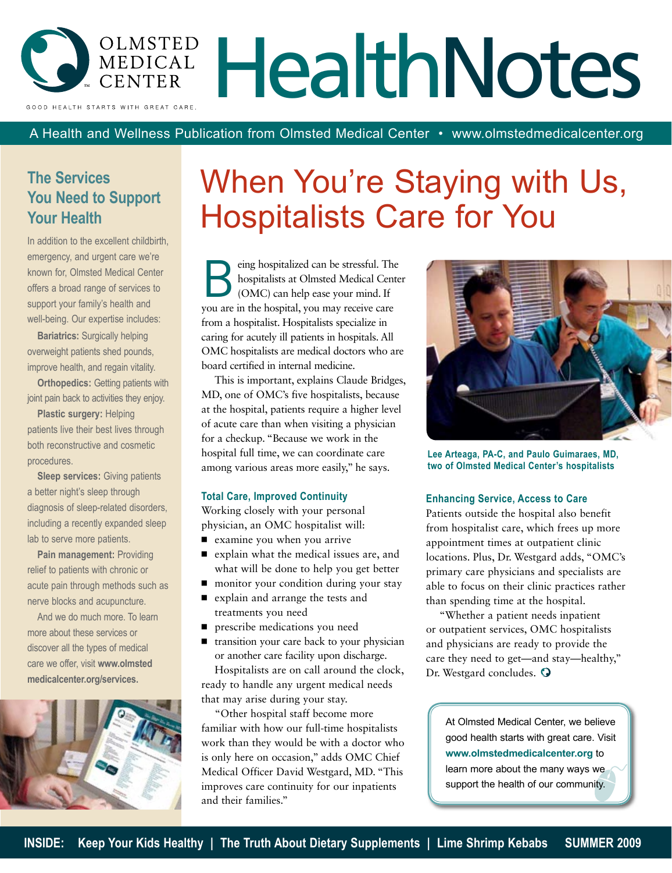

A Health and Wellness Publication from Olmsted Medical Center • www.olmstedmedicalcenter.org

### **The Services You Need to Support Your Health**

In addition to the excellent childbirth, emergency, and urgent care we're known for, Olmsted Medical Center offers a broad range of services to support your family's health and well-being. Our expertise includes:

**Bariatrics:** Surgically helping overweight patients shed pounds, improve health, and regain vitality.

**Orthopedics: Getting patients with** joint pain back to activities they enjoy.

**Plastic surgery:** Helping patients live their best lives through both reconstructive and cosmetic procedures.

**Sleep services:** Giving patients a better night's sleep through diagnosis of sleep-related disorders, including a recently expanded sleep lab to serve more patients.

**Pain management:** Providing relief to patients with chronic or acute pain through methods such as nerve blocks and acupuncture.

And we do much more. To learn more about these services or discover all the types of medical care we offer, visit **www.olmsted medicalcenter.org/services.**



## When You're Staying with Us, Hospitalists Care for You

Employee and the stressful. The hospitalists at Olmsted Medical Cente (OMC) can help ease your mind. If hospitalists at Olmsted Medical Center you are in the hospital, you may receive care from a hospitalist. Hospitalists specialize in caring for acutely ill patients in hospitals. All OMC hospitalists are medical doctors who are board certified in internal medicine.

This is important, explains Claude Bridges, MD, one of OMC's five hospitalists, because at the hospital, patients require a higher level of acute care than when visiting a physician for a checkup. "Because we work in the hospital full time, we can coordinate care among various areas more easily," he says.

#### **Total Care, Improved Continuity**

Working closely with your personal physician, an OMC hospitalist will:

- examine you when you arrive
- explain what the medical issues are, and what will be done to help you get better
- monitor your condition during your stay
- explain and arrange the tests and treatments you need
- prescribe medications you need
- transition your care back to your physician or another care facility upon discharge. Hospitalists are on call around the clock, ready to handle any urgent medical needs that may arise during your stay.

"Other hospital staff become more familiar with how our full-time hospitalists work than they would be with a doctor who is only here on occasion," adds OMC Chief Medical Officer David Westgard, MD. "This improves care continuity for our inpatients and their families."



**Lee Arteaga, PA-C, and Paulo Guimaraes, MD, two of Olmsted Medical Center's hospitalists**

### **Enhancing Service, Access to Care**

Patients outside the hospital also benefit from hospitalist care, which frees up more appointment times at outpatient clinic locations. Plus, Dr. Westgard adds, "OMC's primary care physicians and specialists are able to focus on their clinic practices rather than spending time at the hospital.

"Whether a patient needs inpatient or outpatient services, OMC hospitalists and physicians are ready to provide the care they need to get—and stay—healthy," Dr. Westgard concludes.  $\odot$ 

At Olmsted Medical Center, we believe good health starts with great care. Visit **www.olmstedmedicalcenter.org** to learn more about the many ways we support the health of our community.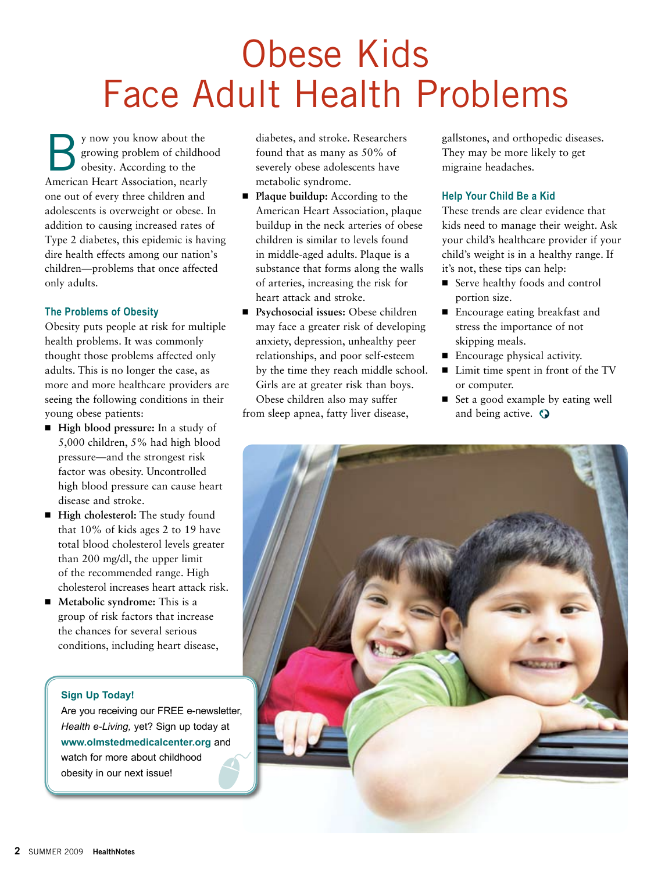# Obese Kids Face Adult Health Problems

y now you know about the<br>growing problem of childho<br>obesity. According to the growing problem of childhood obesity. According to the American Heart Association, nearly one out of every three children and adolescents is overweight or obese. In addition to causing increased rates of Type 2 diabetes, this epidemic is having dire health effects among our nation's children—problems that once affected only adults.

### **The Problems of Obesity**

Obesity puts people at risk for multiple health problems. It was commonly thought those problems affected only adults. This is no longer the case, as more and more healthcare providers are seeing the following conditions in their young obese patients:

- **High blood pressure:** In a study of 5,000 children, 5% had high blood pressure—and the strongest risk factor was obesity. Uncontrolled high blood pressure can cause heart disease and stroke.
- **High cholesterol:** The study found that 10% of kids ages 2 to 19 have total blood cholesterol levels greater than 200 mg/dl, the upper limit of the recommended range. High cholesterol increases heart attack risk.
- Metabolic syndrome: This is a group of risk factors that increase the chances for several serious conditions, including heart disease,

### **Sign Up Today!**

Are you receiving our FREE e-newsletter, *Health e-Living,* yet? Sign up today at **www.olmstedmedicalcenter.org** and watch for more about childhood obesity in our next issue!

diabetes, and stroke. Researchers found that as many as 50% of severely obese adolescents have metabolic syndrome.

- **Plaque buildup:** According to the American Heart Association, plaque buildup in the neck arteries of obese children is similar to levels found in middle-aged adults. Plaque is a substance that forms along the walls of arteries, increasing the risk for heart attack and stroke.
- Psychosocial issues: Obese children may face a greater risk of developing anxiety, depression, unhealthy peer relationships, and poor self-esteem by the time they reach middle school. Girls are at greater risk than boys. Obese children also may suffer

from sleep apnea, fatty liver disease,

gallstones, and orthopedic diseases. They may be more likely to get migraine headaches.

### **Help Your Child Be a Kid**

These trends are clear evidence that kids need to manage their weight. Ask your child's healthcare provider if your child's weight is in a healthy range. If it's not, these tips can help:

- Serve healthy foods and control portion size.
- Encourage eating breakfast and stress the importance of not skipping meals.
- Encourage physical activity.
- Limit time spent in front of the TV or computer.
- Set a good example by eating well and being active.  $\odot$

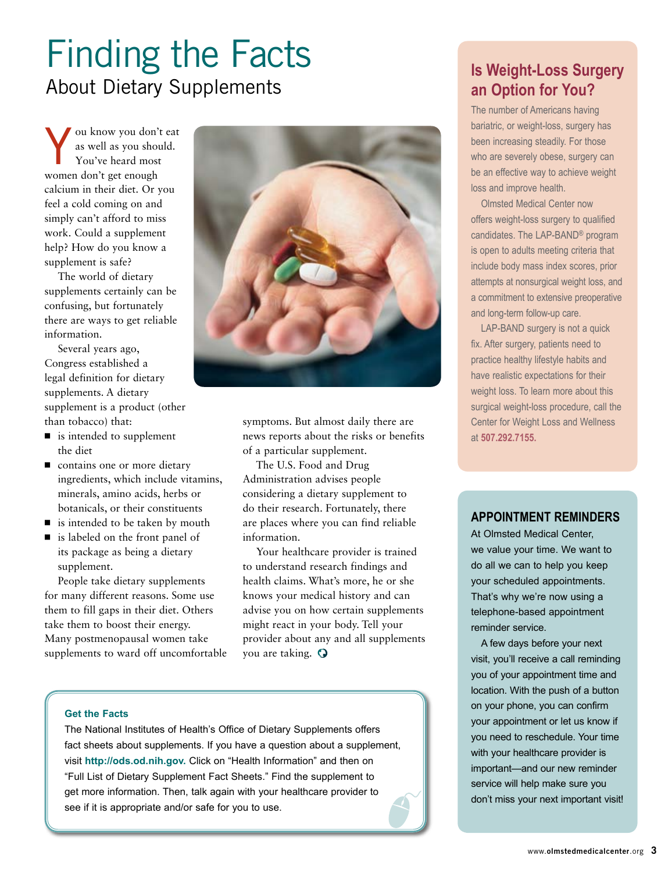## Finding the Facts About Dietary Supplements

ou know you don't eat as well as you should. You've heard most women don't get enough calcium in their diet. Or you feel a cold coming on and simply can't afford to miss work. Could a supplement help? How do you know a supplement is safe?

The world of dietary supplements certainly can be confusing, but fortunately there are ways to get reliable information.

Several years ago, Congress established a legal definition for dietary supplements. A dietary supplement is a product (other than tobacco) that:

- is intended to supplement the diet
- contains one or more dietary ingredients, which include vitamins, minerals, amino acids, herbs or botanicals, or their constituents
- is intended to be taken by mouth
- is labeled on the front panel of its package as being a dietary supplement.

People take dietary supplements for many different reasons. Some use them to fill gaps in their diet. Others take them to boost their energy. Many postmenopausal women take supplements to ward off uncomfortable



symptoms. But almost daily there are news reports about the risks or benefits of a particular supplement.

The U.S. Food and Drug Administration advises people considering a dietary supplement to do their research. Fortunately, there are places where you can find reliable information.

Your healthcare provider is trained to understand research findings and health claims. What's more, he or she knows your medical history and can advise you on how certain supplements might react in your body. Tell your provider about any and all supplements you are taking.

### **Get the Facts**

The National Institutes of Health's Office of Dietary Supplements offers fact sheets about supplements. If you have a question about a supplement, visit **http://ods.od.nih.gov.** Click on "Health Information" and then on "Full List of Dietary Supplement Fact Sheets." Find the supplement to get more information. Then, talk again with your healthcare provider to see if it is appropriate and/or safe for you to use.

### **Is Weight-Loss Surgery an Option for You?**

The number of Americans having bariatric, or weight-loss, surgery has been increasing steadily. For those who are severely obese, surgery can be an effective way to achieve weight loss and improve health.

Olmsted Medical Center now offers weight-loss surgery to qualified candidates. The LAP-BAND® program is open to adults meeting criteria that include body mass index scores, prior attempts at nonsurgical weight loss, and a commitment to extensive preoperative and long-term follow-up care.

LAP-BAND surgery is not a quick fix. After surgery, patients need to practice healthy lifestyle habits and have realistic expectations for their weight loss. To learn more about this surgical weight-loss procedure, call the Center for Weight Loss and Wellness at **507.292.7155.**

### **Appointment Reminders**

At Olmsted Medical Center, we value your time. We want to do all we can to help you keep your scheduled appointments. That's why we're now using a telephone-based appointment reminder service.

A few days before your next visit, you'll receive a call reminding you of your appointment time and location. With the push of a button on your phone, you can confirm your appointment or let us know if you need to reschedule. Your time with your healthcare provider is important—and our new reminder service will help make sure you don't miss your next important visit!